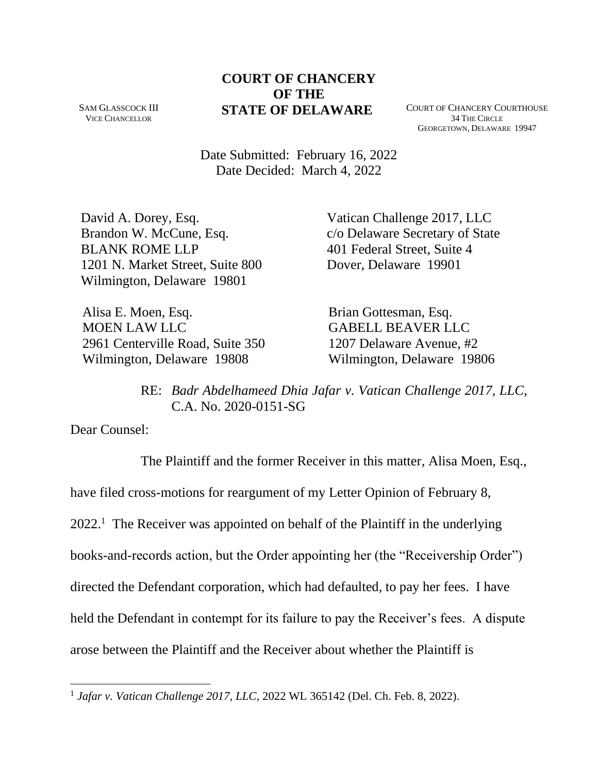**COURT OF CHANCERY OF THE STATE OF DELAWARE** COURT OF CHANCERY COURTHOUSE

SAM GLASSCOCK III VICE CHANCELLOR

34 THE CIRCLE GEORGETOWN, DELAWARE 19947

Date Submitted: February 16, 2022 Date Decided: March 4, 2022

David A. Dorey, Esq. Brandon W. McCune, Esq. BLANK ROME LLP 1201 N. Market Street, Suite 800 Wilmington, Delaware 19801

Vatican Challenge 2017, LLC c/o Delaware Secretary of State 401 Federal Street, Suite 4 Dover, Delaware 19901

 Alisa E. Moen, Esq. MOEN LAW LLC 2961 Centerville Road, Suite 350 Wilmington, Delaware 19808

 Brian Gottesman, Esq. GABELL BEAVER LLC 1207 Delaware Avenue, #2 Wilmington, Delaware 19806

RE: *Badr Abdelhameed Dhia Jafar v. Vatican Challenge 2017, LLC*, C.A. No. 2020-0151-SG

Dear Counsel:

The Plaintiff and the former Receiver in this matter, Alisa Moen, Esq., have filed cross-motions for reargument of my Letter Opinion of February 8,  $2022<sup>1</sup>$  The Receiver was appointed on behalf of the Plaintiff in the underlying books-and-records action, but the Order appointing her (the "Receivership Order") directed the Defendant corporation, which had defaulted, to pay her fees. I have held the Defendant in contempt for its failure to pay the Receiver's fees. A dispute arose between the Plaintiff and the Receiver about whether the Plaintiff is

<sup>1</sup> *Jafar v. Vatican Challenge 2017, LLC*, 2022 WL 365142 (Del. Ch. Feb. 8, 2022).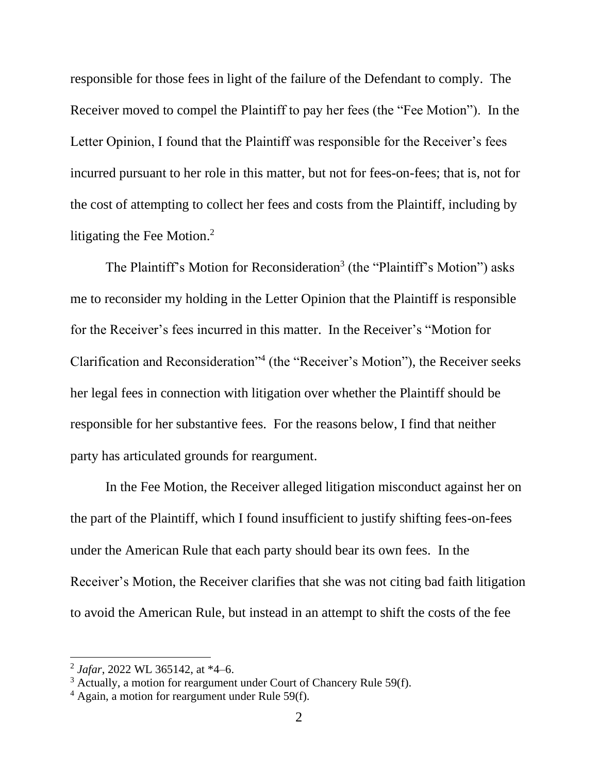responsible for those fees in light of the failure of the Defendant to comply. The Receiver moved to compel the Plaintiff to pay her fees (the "Fee Motion"). In the Letter Opinion, I found that the Plaintiff was responsible for the Receiver's fees incurred pursuant to her role in this matter, but not for fees-on-fees; that is, not for the cost of attempting to collect her fees and costs from the Plaintiff, including by litigating the Fee Motion.<sup>2</sup>

The Plaintiff's Motion for Reconsideration<sup>3</sup> (the "Plaintiff's Motion") asks me to reconsider my holding in the Letter Opinion that the Plaintiff is responsible for the Receiver's fees incurred in this matter. In the Receiver's "Motion for Clarification and Reconsideration"<sup>4</sup> (the "Receiver's Motion"), the Receiver seeks her legal fees in connection with litigation over whether the Plaintiff should be responsible for her substantive fees. For the reasons below, I find that neither party has articulated grounds for reargument.

In the Fee Motion, the Receiver alleged litigation misconduct against her on the part of the Plaintiff, which I found insufficient to justify shifting fees-on-fees under the American Rule that each party should bear its own fees. In the Receiver's Motion, the Receiver clarifies that she was not citing bad faith litigation to avoid the American Rule, but instead in an attempt to shift the costs of the fee

<sup>2</sup> *Jafar*, 2022 WL 365142, at \*4–6.

 $3$  Actually, a motion for reargument under Court of Chancery Rule 59(f).

 $4$  Again, a motion for reargument under Rule 59(f).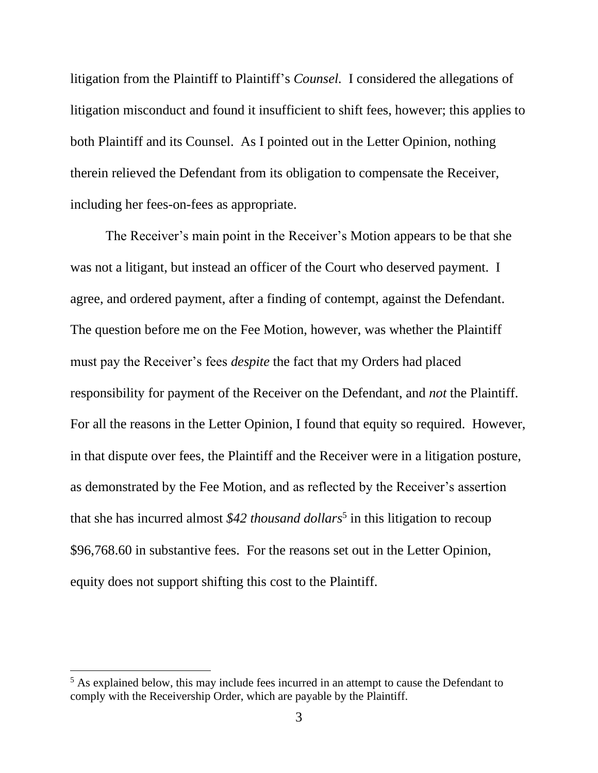litigation from the Plaintiff to Plaintiff's *Counsel.* I considered the allegations of litigation misconduct and found it insufficient to shift fees, however; this applies to both Plaintiff and its Counsel. As I pointed out in the Letter Opinion, nothing therein relieved the Defendant from its obligation to compensate the Receiver, including her fees-on-fees as appropriate.

The Receiver's main point in the Receiver's Motion appears to be that she was not a litigant, but instead an officer of the Court who deserved payment. I agree, and ordered payment, after a finding of contempt, against the Defendant. The question before me on the Fee Motion, however, was whether the Plaintiff must pay the Receiver's fees *despite* the fact that my Orders had placed responsibility for payment of the Receiver on the Defendant, and *not* the Plaintiff. For all the reasons in the Letter Opinion, I found that equity so required. However, in that dispute over fees, the Plaintiff and the Receiver were in a litigation posture, as demonstrated by the Fee Motion, and as reflected by the Receiver's assertion that she has incurred almost \$42 *thousand dollars*<sup>5</sup> in this litigation to recoup \$96,768.60 in substantive fees. For the reasons set out in the Letter Opinion, equity does not support shifting this cost to the Plaintiff.

<sup>&</sup>lt;sup>5</sup> As explained below, this may include fees incurred in an attempt to cause the Defendant to comply with the Receivership Order, which are payable by the Plaintiff.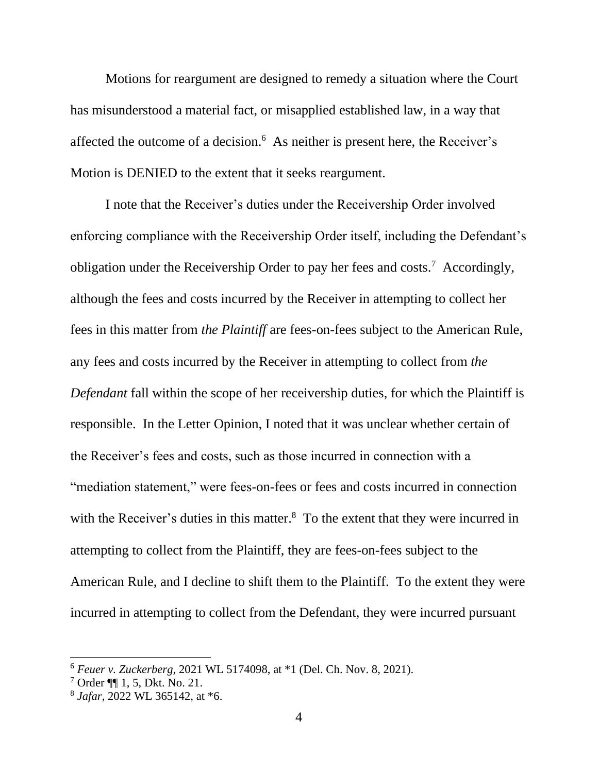Motions for reargument are designed to remedy a situation where the Court has misunderstood a material fact, or misapplied established law, in a way that affected the outcome of a decision.<sup>6</sup> As neither is present here, the Receiver's Motion is DENIED to the extent that it seeks reargument.

I note that the Receiver's duties under the Receivership Order involved enforcing compliance with the Receivership Order itself, including the Defendant's obligation under the Receivership Order to pay her fees and costs.<sup>7</sup> Accordingly, although the fees and costs incurred by the Receiver in attempting to collect her fees in this matter from *the Plaintiff* are fees-on-fees subject to the American Rule, any fees and costs incurred by the Receiver in attempting to collect from *the Defendant* fall within the scope of her receivership duties, for which the Plaintiff is responsible. In the Letter Opinion, I noted that it was unclear whether certain of the Receiver's fees and costs, such as those incurred in connection with a "mediation statement," were fees-on-fees or fees and costs incurred in connection with the Receiver's duties in this matter.<sup>8</sup> To the extent that they were incurred in attempting to collect from the Plaintiff, they are fees-on-fees subject to the American Rule, and I decline to shift them to the Plaintiff. To the extent they were incurred in attempting to collect from the Defendant, they were incurred pursuant

<sup>6</sup> *Feuer v. Zuckerberg*, 2021 WL 5174098, at \*1 (Del. Ch. Nov. 8, 2021).

<sup>7</sup> Order ¶¶ 1, 5, Dkt. No. 21.

<sup>8</sup> *Jafar*, 2022 WL 365142, at \*6.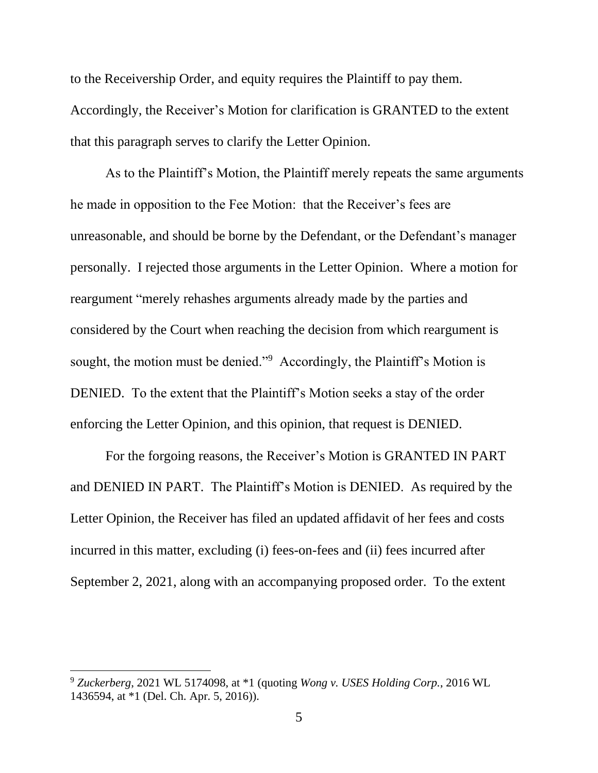to the Receivership Order, and equity requires the Plaintiff to pay them. Accordingly, the Receiver's Motion for clarification is GRANTED to the extent that this paragraph serves to clarify the Letter Opinion.

As to the Plaintiff's Motion, the Plaintiff merely repeats the same arguments he made in opposition to the Fee Motion: that the Receiver's fees are unreasonable, and should be borne by the Defendant, or the Defendant's manager personally. I rejected those arguments in the Letter Opinion. Where a motion for reargument "merely rehashes arguments already made by the parties and considered by the Court when reaching the decision from which reargument is sought, the motion must be denied."<sup>9</sup> Accordingly, the Plaintiff's Motion is DENIED. To the extent that the Plaintiff's Motion seeks a stay of the order enforcing the Letter Opinion, and this opinion, that request is DENIED.

For the forgoing reasons, the Receiver's Motion is GRANTED IN PART and DENIED IN PART. The Plaintiff's Motion is DENIED. As required by the Letter Opinion, the Receiver has filed an updated affidavit of her fees and costs incurred in this matter, excluding (i) fees-on-fees and (ii) fees incurred after September 2, 2021, along with an accompanying proposed order. To the extent

<sup>9</sup> *Zuckerberg*, 2021 WL 5174098, at \*1 (quoting *Wong v. USES Holding Corp.*, 2016 WL 1436594, at \*1 (Del. Ch. Apr. 5, 2016)).